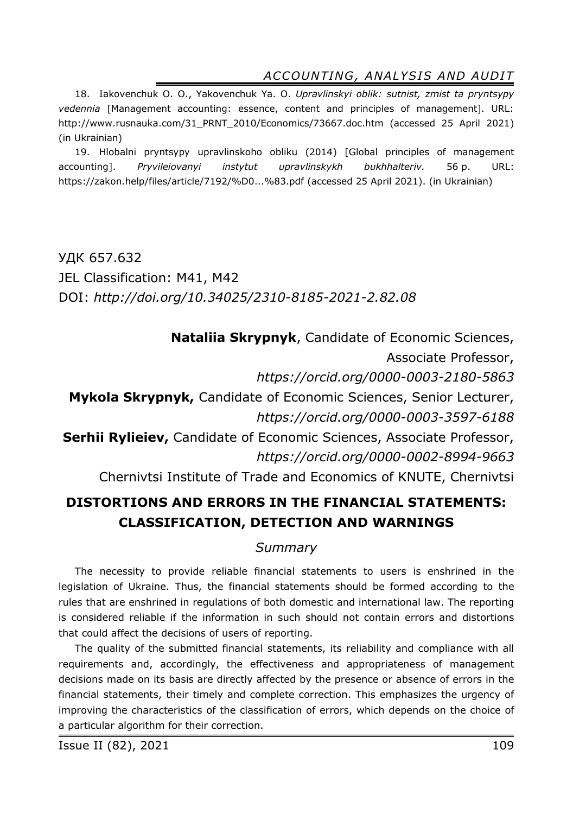18. Iakovenchuk O. O., Yakovenchuk Ya. O. *Upravlinskyi oblik: sutnist, zmist ta pryntsypy vedennia* [Management accounting: essence, content and principles of management]. URL: http://www.rusnauka.com/31\_PRNT\_2010/Economics/73667.doc.htm (accessed 25 April 2021) (in Ukrainian)

19. Hlobalni pryntsypy upravlinskoho obliku (2014) [Global principles of management accounting]. *Pryvileiovanyi instytut upravlinskykh bukhhalteriv.* 56 р. URL: https://zakon.help/files/article/7192/%D0...%83.pdf (accessed 25 April 2021). (in Ukrainian)

УДК 657.632 JEL Classification: M41, M42 DOI: *http://doi.org/10.34025/2310-8185-2021-2.82.08* 

**Nataliia Skrypnyk**, Candidate of Economic Sciences,

Associate Professor,

*https://orcid.org/0000-0003-2180-5863* 

**Mykola Skrypnyk,** Candidate of Economic Sciences, Senior Lecturer, *https://orcid.org/0000-0003-3597-6188* 

**Serhii Rylieiev,** Candidate of Economic Sciences, Associate Professor, *https://orcid.org/0000-0002-8994-9663* 

Chernivtsi Institute of Trade and Economics of KNUTE, Chernivtsi

# **DISTORTIONS AND ERRORS IN THE FINANCIAL STATEMENTS: CLASSIFICATION, DETECTION AND WARNINGS**

### *Summary*

The necessity to provide reliable financial statements to users is enshrined in the legislation of Ukraine. Thus, the financial statements should be formed according to the rules that are enshrined in regulations of both domestic and international law. The reporting is considered reliable if the information in such should not contain errors and distortions that could affect the decisions of users of reporting.

The quality of the submitted financial statements, its reliability and compliance with all requirements and, accordingly, the effectiveness and appropriateness of management decisions made on its basis are directly affected by the presence or absence of errors in the financial statements, their timely and complete correction. This emphasizes the urgency of improving the characteristics of the classification of errors, which depends on the choice of a particular algorithm for their correction.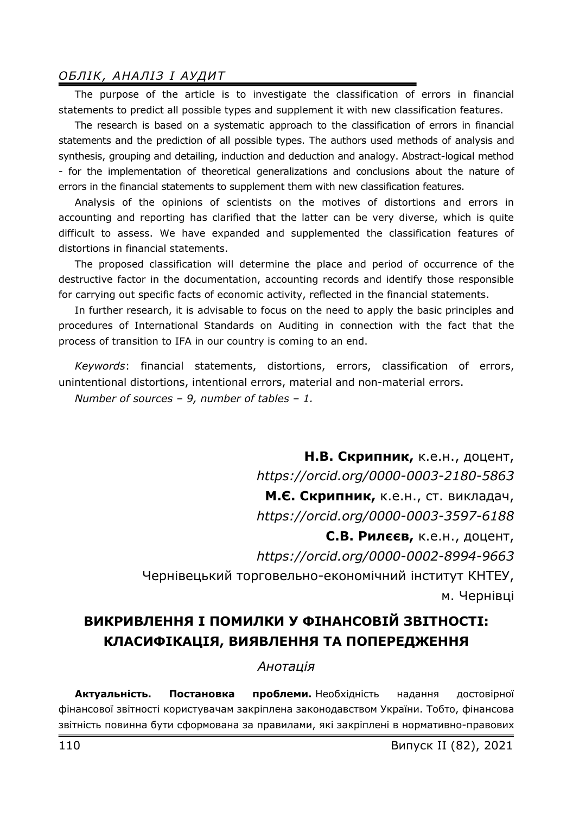The purpose of the article is to investigate the classification of errors in financial statements to predict all possible types and supplement it with new classification features.

The research is based on a systematic approach to the classification of errors in financial statements and the prediction of all possible types. The authors used methods of analysis and synthesis, grouping and detailing, induction and deduction and analogy. Abstract-logical method - for the implementation of theoretical generalizations and conclusions about the nature of errors in the financial statements to supplement them with new classification features.

Analysis of the opinions of scientists on the motives of distortions and errors in accounting and reporting has clarified that the latter can be very diverse, which is quite difficult to assess. We have expanded and supplemented the classification features of distortions in financial statements.

The proposed classification will determine the place and period of occurrence of the destructive factor in the documentation, accounting records and identify those responsible for carrying out specific facts of economic activity, reflected in the financial statements.

In further research, it is advisable to focus on the need to apply the basic principles and procedures of International Standards on Auditing in connection with the fact that the process of transition to IFA in our country is coming to an end.

*Keywords*: financial statements, distortions, errors, classification of errors, unintentional distortions, intentional errors, material and non-material errors.

*Number of sources – 9, number of tables – 1.* 

**Н.В. Скрипник,** к.е.н., доцент, *https://orcid.org/0000-0003-2180-5863*  **М.Є. Скрипник,** к.е.н., ст. викладач, *https://orcid.org/0000-0003-3597-6188* 

**С.В. Рилєєв,** к.е.н., доцент,

*https://orcid.org/0000-0002-8994-9663* 

Чернівецький торговельно-економічний інститут КНТЕУ, м. Чернівці

# **ВИКРИВЛЕННЯ І ПОМИЛКИ У ФІНАНСОВІЙ ЗВІТНОСТІ: КЛАСИФІКАЦІЯ, ВИЯВЛЕННЯ ТА ПОПЕРЕДЖЕННЯ**

#### *Анотація*

**Актуальність. Постановка проблеми.** Необхідність надання достовірної фінансової звітності користувачам закріплена законодавством України. Тобто, фінансова звітність повинна бути сформована за правилами, які закріплені в нормативно-правових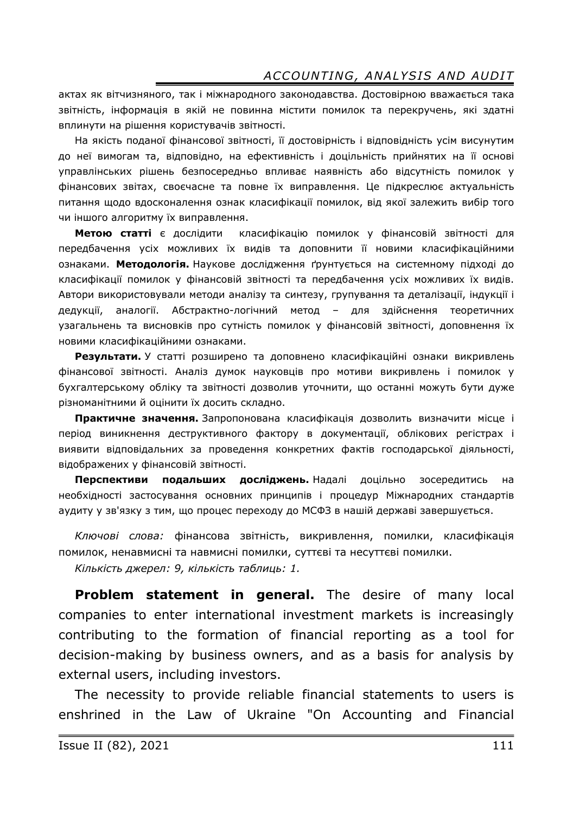актах як вітчизняного, так і міжнародного законодавства. Достовірною вважається така звітність, інформація в якій не повинна містити помилок та перекручень, які здатні вплинути на рішення користувачів звітності.

На якість поданої фінансової звітності, її достовірність і відповідність усім висунутим до неї вимогам та, відповідно, на ефективність і доцільність прийнятих на її основі управлінських рішень безпосередньо впливає наявність або відсутність помилок у фінансових звітах, своєчасне та повне їх виправлення. Це підкреслює актуальність питання щодо вдосконалення ознак класифікації помилок, від якої залежить вибір того чи іншого алгоритму їх виправлення.

**Метою статті** є дослідити класифікацію помилок у фінансовій звітності для передбачення усіх можливих їх видів та доповнити її новими класифікаційними ознаками. **Методологія.** Наукове дослідження ґрунтується на системному підході до класифікації помилок у фінансовій звітності та передбачення усіх можливих їх видів. Автори використовували методи аналізу та синтезу, групування та деталізації, індукції і дедукції, аналогії. Абстрактно-логічний метод – для здійснення теоретичних узагальнень та висновків про сутність помилок у фінансовій звітності, доповнення їх новими класифікаційними ознаками.

**Результати.** У статті розширено та доповнено класифікаційні ознаки викривлень фінансової звітності. Аналіз думок науковців про мотиви викривлень і помилок у бухгалтерському обліку та звітності дозволив уточнити, що останні можуть бути дуже різноманітними й оцінити їх досить складно.

**Практичне значення.** Запропонована класифікація дозволить визначити місце і період виникнення деструктивного фактору в документації, облікових регістрах і виявити відповідальних за проведення конкретних фактів господарської діяльності, відображених у фінансовій звітності.

**Перспективи подальших досліджень.** Надалі доцільно зосередитись на необхідності застосування основних принципів і процедур Міжнародних стандартів аудиту у зв'язку з тим, що процес переходу до МСФЗ в нашій державі завершується.

*Ключові слова:* фінансова звітність, викривлення, помилки, класифікація помилок, ненавмисні та навмисні помилки, суттєві та несуттєві помилки.

*Кількість джерел: 9, кількість таблиць: 1.* 

**Problem statement in general.** The desire of many local companies to enter international investment markets is increasingly contributing to the formation of financial reporting as a tool for decision-making by business owners, and as a basis for analysis by external users, including investors.

The necessity to provide reliable financial statements to users is enshrined in the Law of Ukraine "On Accounting and Financial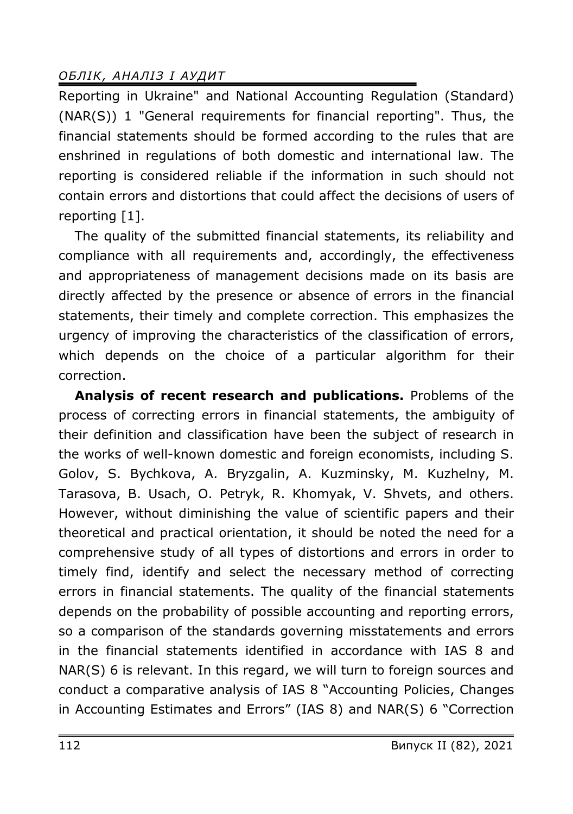Reporting in Ukraine" and National Accounting Regulation (Standard)  $(NAR(S))$  1 "General requirements for financial reporting". Thus, the financial statements should be formed according to the rules that are enshrined in regulations of both domestic and international law. The reporting is considered reliable if the information in such should not contain errors and distortions that could affect the decisions of users of reporting [1].

The quality of the submitted financial statements, its reliability and compliance with all requirements and, accordingly, the effectiveness and appropriateness of management decisions made on its basis are directly affected by the presence or absence of errors in the financial statements, their timely and complete correction. This emphasizes the urgency of improving the characteristics of the classification of errors, which depends on the choice of a particular algorithm for their correction.

**Analysis of recent research and publications.** Problems of the process of correcting errors in financial statements, the ambiguity of their definition and classification have been the subject of research in the works of well-known domestic and foreign economists, including S. Golov, S. Bychkova, A. Bryzgalin, A. Kuzminsky, M. Kuzhelny, M. Tarasova, B. Usach, O. Petryk, R. Khomyak, V. Shvets, and others. However, without diminishing the value of scientific papers and their theoretical and practical orientation, it should be noted the need for a comprehensive study of all types of distortions and errors in order to timely find, identify and select the necessary method of correcting errors in financial statements. The quality of the financial statements depends on the probability of possible accounting and reporting errors, so a comparison of the standards governing misstatements and errors in the financial statements identified in accordance with IAS 8 and NAR(S) 6 is relevant. In this regard, we will turn to foreign sources and conduct a comparative analysis of IAS 8 "Accounting Policies, Changes in Accounting Estimates and Errors" (IAS 8) and NAR(S) 6 "Correction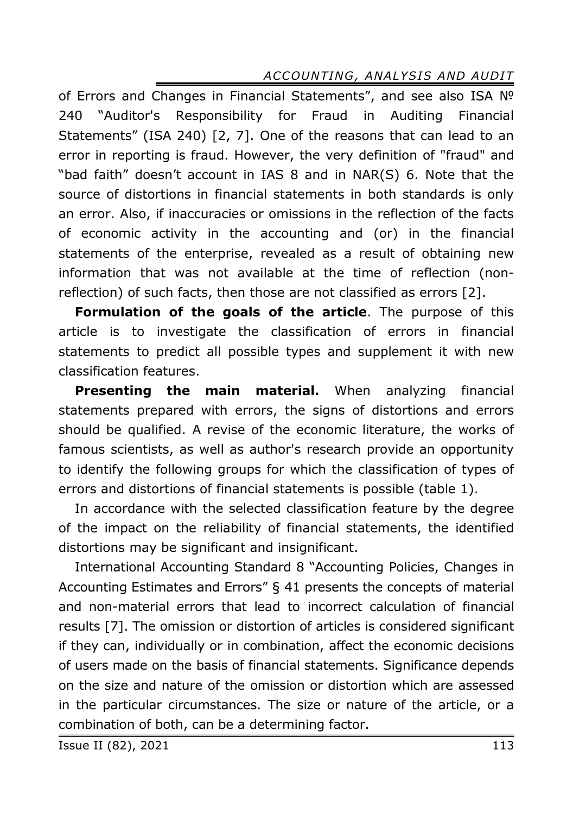of Errors and Changes in Financial Statements", and see also ISA № 240 "Auditor's Responsibility for Fraud in Auditing Financial Statements" (ISA 240) [2, 7]. One of the reasons that can lead to an error in reporting is fraud. However, the very definition of "fraud" and "bad faith" doesn't account in IAS 8 and in NAR(S) 6. Note that the source of distortions in financial statements in both standards is only an error. Also, if inaccuracies or omissions in the reflection of the facts of economic activity in the accounting and (or) in the financial statements of the enterprise, revealed as a result of obtaining new information that was not available at the time of reflection (nonreflection) of such facts, then those are not classified as errors [2].

**Formulation of the goals of the article**. The purpose of this article is to investigate the classification of errors in financial statements to predict all possible types and supplement it with new classification features.

**Presenting the main material.** When analyzing financial statements prepared with errors, the signs of distortions and errors should be qualified. A revise of the economic literature, the works of famous scientists, as well as author's research provide an opportunity to identify the following groups for which the classification of types of errors and distortions of financial statements is possible (table 1).

In accordance with the selected classification feature by the degree of the impact on the reliability of financial statements, the identified distortions may be significant and insignificant.

International Accounting Standard 8 "Accounting Policies, Changes in Accounting Estimates and Errors" § 41 presents the concepts of material and non-material errors that lead to incorrect calculation of financial results [7]. The omission or distortion of articles is considered significant if they can, individually or in combination, affect the economic decisions of users made on the basis of financial statements. Significance depends on the size and nature of the omission or distortion which are assessed in the particular circumstances. The size or nature of the article, or a combination of both, can be a determining factor.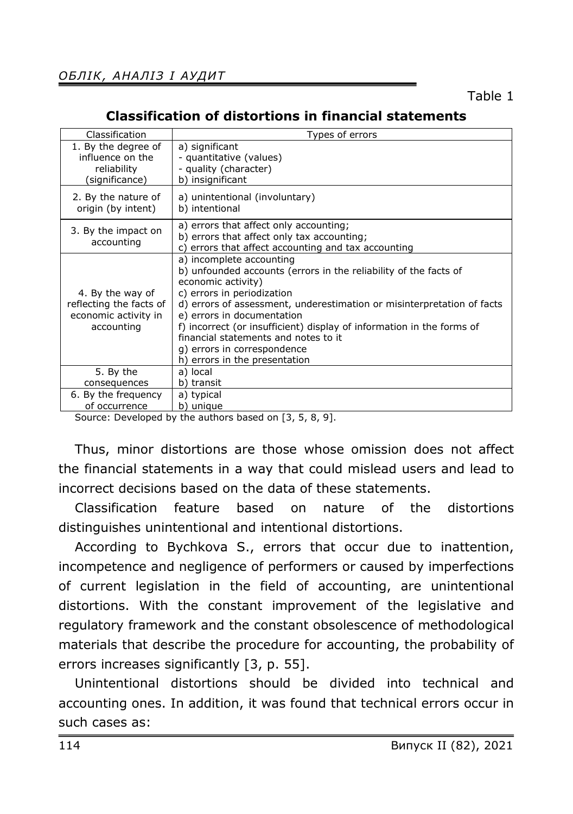### **Classification of distortions in financial statements**

| Classification                                                                    | Types of errors                                                                                                                                                                                                                                                                                                                                                                                                                           |
|-----------------------------------------------------------------------------------|-------------------------------------------------------------------------------------------------------------------------------------------------------------------------------------------------------------------------------------------------------------------------------------------------------------------------------------------------------------------------------------------------------------------------------------------|
| 1. By the degree of                                                               | a) significant                                                                                                                                                                                                                                                                                                                                                                                                                            |
| influence on the                                                                  | - quantitative (values)                                                                                                                                                                                                                                                                                                                                                                                                                   |
| reliability                                                                       | - quality (character)                                                                                                                                                                                                                                                                                                                                                                                                                     |
| (significance)                                                                    | b) insignificant                                                                                                                                                                                                                                                                                                                                                                                                                          |
| 2. By the nature of                                                               | a) unintentional (involuntary)                                                                                                                                                                                                                                                                                                                                                                                                            |
| origin (by intent)                                                                | b) intentional                                                                                                                                                                                                                                                                                                                                                                                                                            |
| 3. By the impact on<br>accounting                                                 | a) errors that affect only accounting;<br>b) errors that affect only tax accounting;<br>c) errors that affect accounting and tax accounting                                                                                                                                                                                                                                                                                               |
| 4. By the way of<br>reflecting the facts of<br>economic activity in<br>accounting | a) incomplete accounting<br>b) unfounded accounts (errors in the reliability of the facts of<br>economic activity)<br>c) errors in periodization<br>d) errors of assessment, underestimation or misinterpretation of facts<br>e) errors in documentation<br>f) incorrect (or insufficient) display of information in the forms of<br>financial statements and notes to it<br>g) errors in correspondence<br>h) errors in the presentation |
| 5. By the                                                                         | a) local                                                                                                                                                                                                                                                                                                                                                                                                                                  |
| consequences                                                                      | b) transit                                                                                                                                                                                                                                                                                                                                                                                                                                |
| 6. By the frequency                                                               | a) typical                                                                                                                                                                                                                                                                                                                                                                                                                                |
| of occurrence                                                                     | b) unique                                                                                                                                                                                                                                                                                                                                                                                                                                 |

Source: Developed by the authors based on [3, 5, 8, 9].

Thus, minor distortions are those whose omission does not affect the financial statements in a way that could mislead users and lead to incorrect decisions based on the data of these statements.

Classification feature based on nature of the distortions distinguishes unintentional and intentional distortions.

According to Bychkova S., errors that occur due to inattention, incompetence and negligence of performers or caused by imperfections of current legislation in the field of accounting, are unintentional distortions. With the constant improvement of the legislative and regulatory framework and the constant obsolescence of methodological materials that describe the procedure for accounting, the probability of errors increases significantly [3, p. 55].

Unintentional distortions should be divided into technical and accounting ones. In addition, it was found that technical errors occur in such cases as: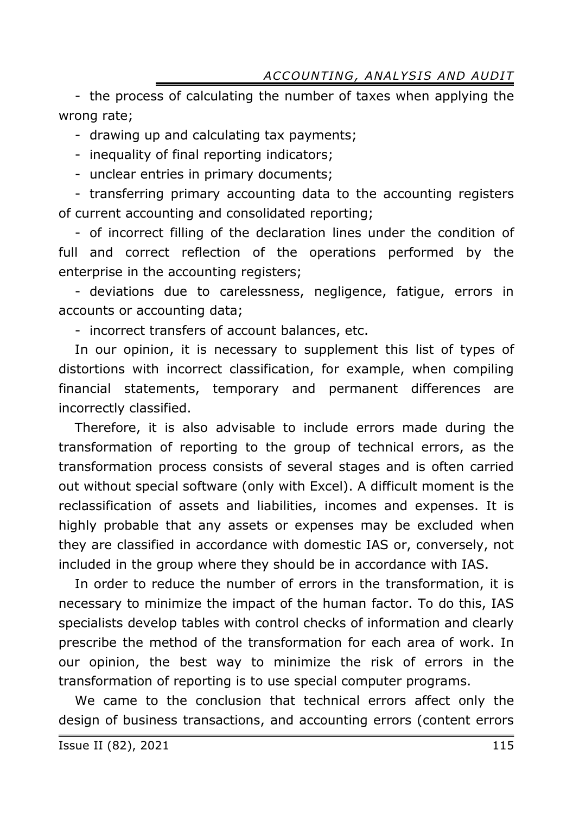- the process of calculating the number of taxes when applying the wrong rate;

- drawing up and calculating tax payments;

- inequality of final reporting indicators;

- unclear entries in primary documents;

- transferring primary accounting data to the accounting registers of current accounting and consolidated reporting;

- of incorrect filling of the declaration lines under the condition of full and correct reflection of the operations performed by the enterprise in the accounting registers;

- deviations due to carelessness, negligence, fatigue, errors in accounts or accounting data;

- incorrect transfers of account balances, etc.

In our opinion, it is necessary to supplement this list of types of distortions with incorrect classification, for example, when compiling financial statements, temporary and permanent differences are incorrectly classified.

Therefore, it is also advisable to include errors made during the transformation of reporting to the group of technical errors, as the transformation process consists of several stages and is often carried out without special software (only with Excel). A difficult moment is the reclassification of assets and liabilities, incomes and expenses. It is highly probable that any assets or expenses may be excluded when they are classified in accordance with domestic IAS or, conversely, not included in the group where they should be in accordance with IAS.

In order to reduce the number of errors in the transformation, it is necessary to minimize the impact of the human factor. To do this, IAS specialists develop tables with control checks of information and clearly prescribe the method of the transformation for each area of work. In our opinion, the best way to minimize the risk of errors in the transformation of reporting is to use special computer programs.

We came to the conclusion that technical errors affect only the design of business transactions, and accounting errors (content errors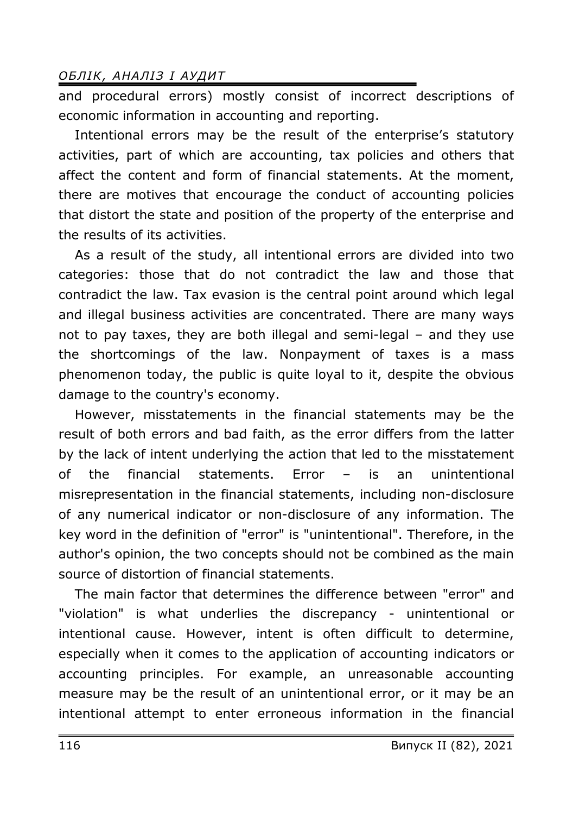and procedural errors) mostly consist of incorrect descriptions of economic information in accounting and reporting.

Intentional errors may be the result of the enterprise's statutory activities, part of which are accounting, tax policies and others that affect the content and form of financial statements. At the moment, there are motives that encourage the conduct of accounting policies that distort the state and position of the property of the enterprise and the results of its activities.

As a result of the study, all intentional errors are divided into two categories: those that do not contradict the law and those that contradict the law. Tax evasion is the central point around which legal and illegal business activities are concentrated. There are many ways not to pay taxes, they are both illegal and semi-legal – and they use the shortcomings of the law. Nonpayment of taxes is a mass phenomenon today, the public is quite loyal to it, despite the obvious damage to the country's economy.

However, misstatements in the financial statements may be the result of both errors and bad faith, as the error differs from the latter by the lack of intent underlying the action that led to the misstatement of the financial statements. Error – is an unintentional misrepresentation in the financial statements, including non-disclosure of any numerical indicator or non-disclosure of any information. The key word in the definition of "error" is "unintentional". Therefore, in the author's opinion, the two concepts should not be combined as the main source of distortion of financial statements.

The main factor that determines the difference between "error" and "violation" is what underlies the discrepancy - unintentional or intentional cause. However, intent is often difficult to determine, especially when it comes to the application of accounting indicators or accounting principles. For example, an unreasonable accounting measure may be the result of an unintentional error, or it may be an intentional attempt to enter erroneous information in the financial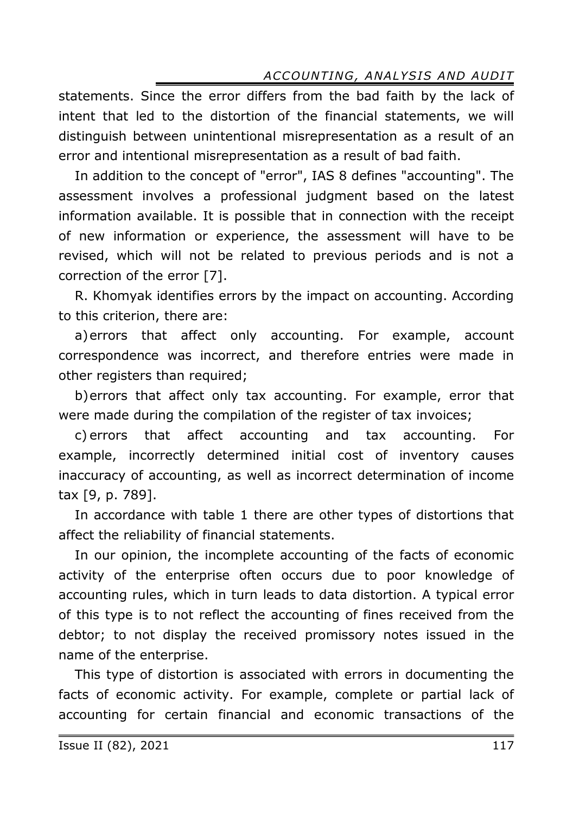statements. Since the error differs from the bad faith by the lack of intent that led to the distortion of the financial statements, we will distinguish between unintentional misrepresentation as a result of an error and intentional misrepresentation as a result of bad faith.

In addition to the concept of "error", IAS 8 defines "accounting". The assessment involves a professional judgment based on the latest information available. It is possible that in connection with the receipt of new information or experience, the assessment will have to be revised, which will not be related to previous periods and is not a correction of the error [7].

R. Khomyak identifies errors by the impact on accounting. According to this criterion, there are:

a)errors that affect only accounting. For example, account correspondence was incorrect, and therefore entries were made in other registers than required;

b)errors that affect only tax accounting. For example, error that were made during the compilation of the register of tax invoices;

c) errors that affect accounting and tax accounting. For example, incorrectly determined initial cost of inventory causes inaccuracy of accounting, as well as incorrect determination of income tax [9, p. 789].

In accordance with table 1 there are other types of distortions that affect the reliability of financial statements.

In our opinion, the incomplete accounting of the facts of economic activity of the enterprise often occurs due to poor knowledge of accounting rules, which in turn leads to data distortion. A typical error of this type is to not reflect the accounting of fines received from the debtor; to not display the received promissory notes issued in the name of the enterprise.

This type of distortion is associated with errors in documenting the facts of economic activity. For example, complete or partial lack of accounting for certain financial and economic transactions of the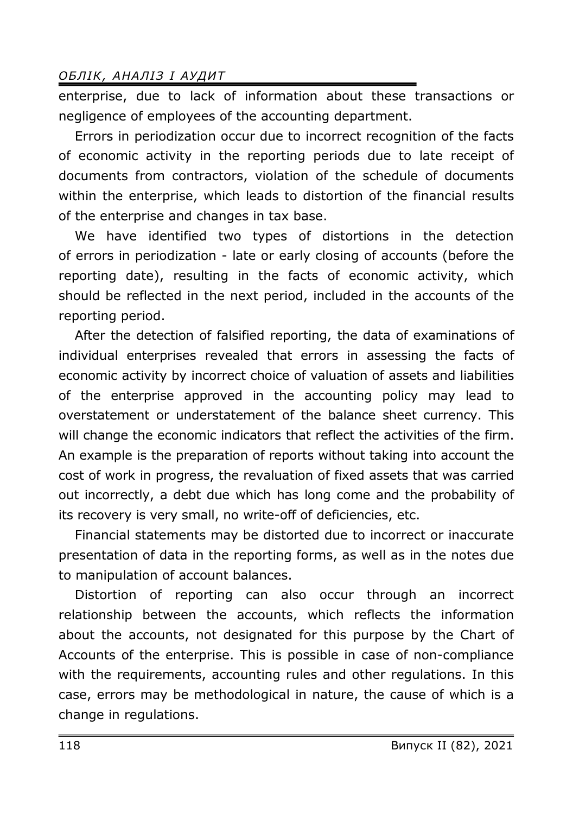enterprise, due to lack of information about these transactions or negligence of employees of the accounting department.

Errors in periodization occur due to incorrect recognition of the facts of economic activity in the reporting periods due to late receipt of documents from contractors, violation of the schedule of documents within the enterprise, which leads to distortion of the financial results of the enterprise and changes in tax base.

We have identified two types of distortions in the detection of errors in periodization - late or early closing of accounts (before the reporting date), resulting in the facts of economic activity, which should be reflected in the next period, included in the accounts of the reporting period.

After the detection of falsified reporting, the data of examinations of individual enterprises revealed that errors in assessing the facts of economic activity by incorrect choice of valuation of assets and liabilities of the enterprise approved in the accounting policy may lead to overstatement or understatement of the balance sheet currency. This will change the economic indicators that reflect the activities of the firm. An example is the preparation of reports without taking into account the cost of work in progress, the revaluation of fixed assets that was carried out incorrectly, a debt due which has long come and the probability of its recovery is very small, no write-off of deficiencies, etc.

Financial statements may be distorted due to incorrect or inaccurate presentation of data in the reporting forms, as well as in the notes due to manipulation of account balances.

Distortion of reporting can also occur through an incorrect relationship between the accounts, which reflects the information about the accounts, not designated for this purpose by the Chart of Accounts of the enterprise. This is possible in case of non-compliance with the requirements, accounting rules and other regulations. In this case, errors may be methodological in nature, the cause of which is a change in regulations.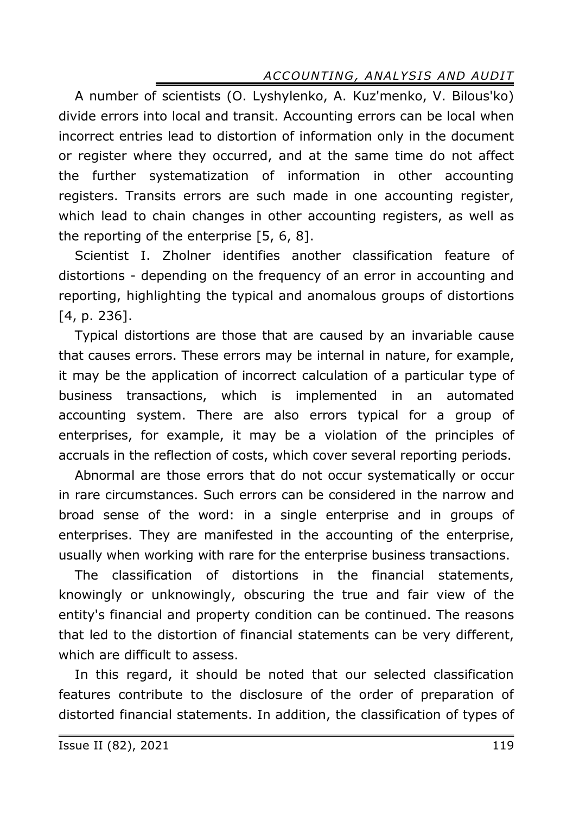A number of scientists (O. Lyshylenko, A. Kuz'menko, V. Bilous'ko) divide errors into local and transit. Accounting errors can be local when incorrect entries lead to distortion of information only in the document or register where they occurred, and at the same time do not affect the further systematization of information in other accounting registers. Transits errors are such made in one accounting register, which lead to chain changes in other accounting registers, as well as the reporting of the enterprise [5, 6, 8].

Scientist I. Zholner identifies another classification feature of distortions - depending on the frequency of an error in accounting and reporting, highlighting the typical and anomalous groups of distortions [4, p. 236].

Typical distortions are those that are caused by an invariable cause that causes errors. These errors may be internal in nature, for example, it may be the application of incorrect calculation of a particular type of business transactions, which is implemented in an automated accounting system. There are also errors typical for a group of enterprises, for example, it may be a violation of the principles of accruals in the reflection of costs, which cover several reporting periods.

Abnormal are those errors that do not occur systematically or occur in rare circumstances. Such errors can be considered in the narrow and broad sense of the word: in a single enterprise and in groups of enterprises. They are manifested in the accounting of the enterprise, usually when working with rare for the enterprise business transactions.

The classification of distortions in the financial statements, knowingly or unknowingly, obscuring the true and fair view of the entity's financial and property condition can be continued. The reasons that led to the distortion of financial statements can be very different, which are difficult to assess.

In this regard, it should be noted that our selected classification features contribute to the disclosure of the order of preparation of distorted financial statements. In addition, the classification of types of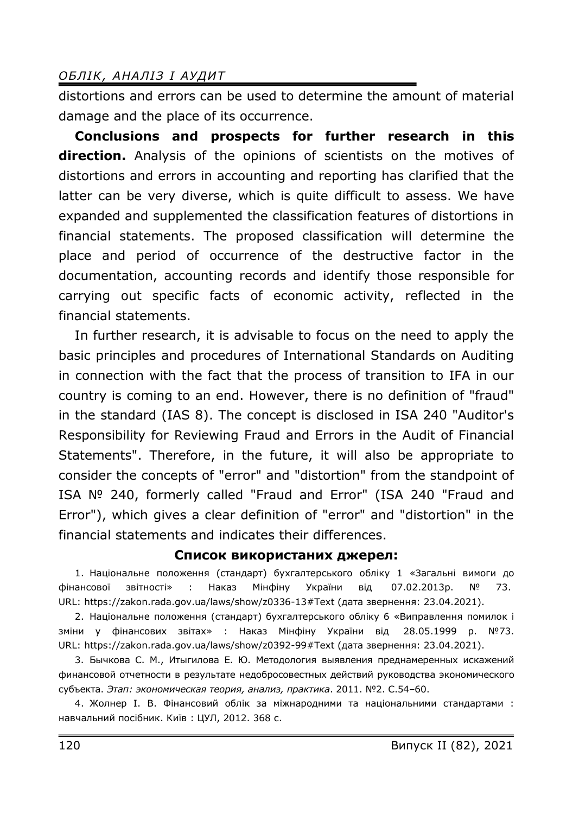distortions and errors can be used to determine the amount of material damage and the place of its occurrence.

**Conclusions and prospects for further research in this direction.** Analysis of the opinions of scientists on the motives of distortions and errors in accounting and reporting has clarified that the latter can be very diverse, which is quite difficult to assess. We have expanded and supplemented the classification features of distortions in financial statements. The proposed classification will determine the place and period of occurrence of the destructive factor in the documentation, accounting records and identify those responsible for carrying out specific facts of economic activity, reflected in the financial statements.

In further research, it is advisable to focus on the need to apply the basic principles and procedures of International Standards on Auditing in connection with the fact that the process of transition to IFA in our country is coming to an end. However, there is no definition of "fraud" in the standard (IAS 8). The concept is disclosed in ISA 240 "Auditor's Responsibility for Reviewing Fraud and Errors in the Audit of Financial Statements". Therefore, in the future, it will also be appropriate to consider the concepts of "error" and "distortion" from the standpoint of ISA № 240, formerly called "Fraud and Error" (ISA 240 "Fraud and Error"), which gives a clear definition of "error" and "distortion" in the financial statements and indicates their differences.

#### **Список використаних джерел:**

1. Національне положення (стандарт) бухгалтерського обліку 1 «Загальні вимоги до фінансової звітності» : Наказ Мінфіну України від 07.02.2013р. № 73. URL: https://zakon.rada.gov.ua/laws/show/z0336-13#Text (дата звернення: 23.04.2021).

2. Національне положення (стандарт) бухгалтерського обліку 6 «Виправлення помилок і зміни у фінансових звітах» : Наказ Мінфіну України від 28.05.1999 р. №73. URL: https://zakon.rada.gov.ua/laws/show/z0392-99#Text (дата звернення: 23.04.2021).

3. Бычкова С. М., Итыгилова Е. Ю. Методология выявления преднамеренных искажений финансовой отчетности в результате недобросовестных действий руководства экономического субъекта. *Этап: экономическая теория, анализ, практика*. 2011. №2. С.54–60.

4. Жолнер І. В. Фінансовий облік за міжнародними та національними стандартами : навчальний посібник. Київ : ЦУЛ, 2012. 368 c.